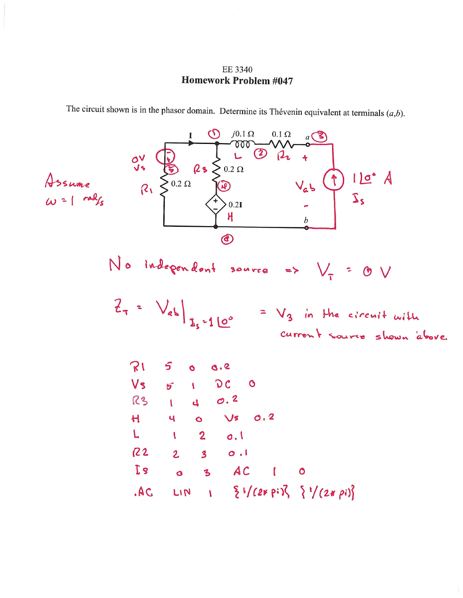EE 3340 **Homework Problem #047** 

The circuit shown is in the phasor domain. Determine its Thévenin equivalent at terminals  $(a,b)$ .